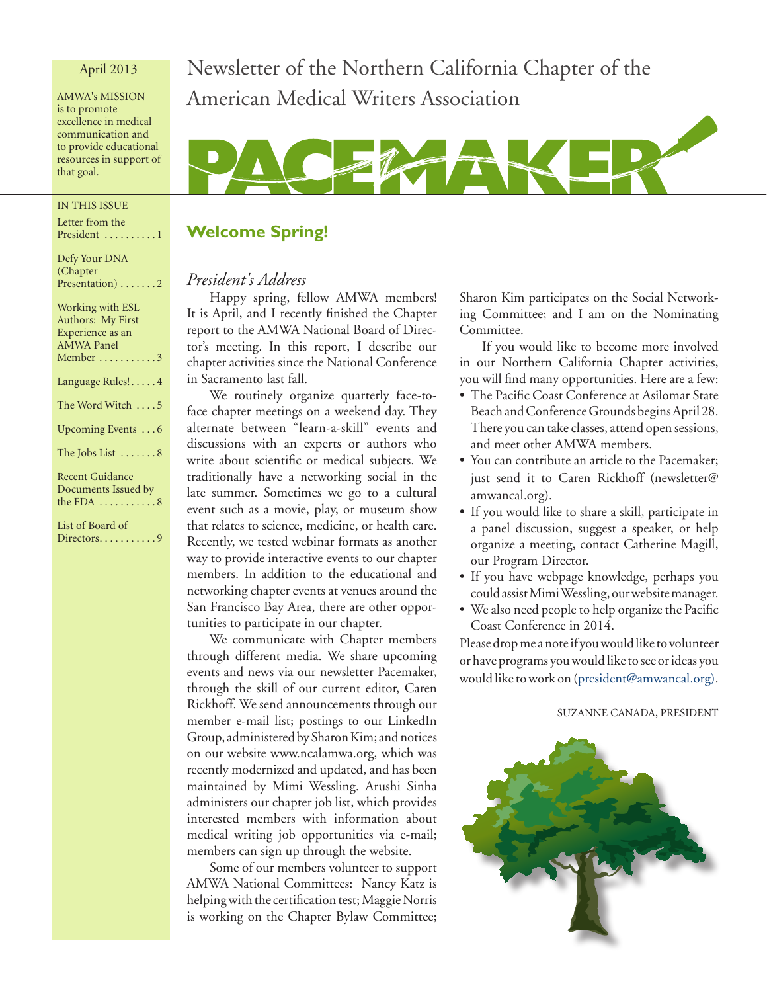#### April 2013

AMWA's MISSION is to promote excellence in medical communication and to provide educational resources in support of that goal.

#### In THIS ISSUE

| Letter from the |  |  |  |  |  |  |
|-----------------|--|--|--|--|--|--|
| President 1     |  |  |  |  |  |  |

| Defy Your DNA               |
|-----------------------------|
| (Chapter)                   |
| Presentation) 2             |
|                             |
| Working with ESL            |
| Authors: My First           |
| Experience as an            |
| <b>AMWA Panel</b>           |
| Member $\dots\dots\dots3$   |
|                             |
| Language Rules!4            |
|                             |
| The Word Witch 5            |
| Upcoming Events 6           |
|                             |
| The Jobs List 8             |
|                             |
| <b>Recent Guidance</b>      |
| Documents Issued by         |
| the FDA $\dots\dots\dots 8$ |
|                             |
| List of Board of            |
| Directors9                  |

# Newsletter of the Northern California Chapter of the American Medical Writers Association



## **Welcome Spring!**

#### *President's Address*

Happy spring, fellow AMWA members! It is April, and I recently finished the Chapter report to the AMWA National Board of Director's meeting. In this report, I describe our chapter activities since the National Conference in Sacramento last fall.

We routinely organize quarterly face-toface chapter meetings on a weekend day. They alternate between "learn-a-skill" events and discussions with an experts or authors who write about scientific or medical subjects. We traditionally have a networking social in the late summer. Sometimes we go to a cultural event such as a movie, play, or museum show that relates to science, medicine, or health care. Recently, we tested webinar formats as another way to provide interactive events to our chapter members. In addition to the educational and networking chapter events at venues around the San Francisco Bay Area, there are other opportunities to participate in our chapter.

We communicate with Chapter members through different media. We share upcoming events and news via our newsletter Pacemaker, through the skill of our current editor, Caren Rickhoff. We send announcements through our member e-mail list; postings to our LinkedIn Group, administered by Sharon Kim; and notices on our website www.ncalamwa.org, which was recently modernized and updated, and has been maintained by Mimi Wessling. Arushi Sinha administers our chapter job list, which provides interested members with information about medical writing job opportunities via e-mail; members can sign up through the website.

Some of our members volunteer to support AMWA National Committees: Nancy Katz is helping with the certification test; Maggie Norris is working on the Chapter Bylaw Committee;

Sharon Kim participates on the Social Networking Committee; and I am on the Nominating Committee.

If you would like to become more involved in our Northern California Chapter activities, you will find many opportunities. Here are a few:

- The Pacific Coast Conference at Asilomar State Beach and Conference Grounds begins April 28. There you can take classes, attend open sessions, and meet other AMWA members.
- • You can contribute an article to the Pacemaker; just send it to Caren Rickhoff (newsletter@ amwancal.org).
- If you would like to share a skill, participate in a panel discussion, suggest a speaker, or help organize a meeting, contact Catherine Magill, our Program Director.
- If you have webpage knowledge, perhaps you could assist Mimi Wessling, our website manager.
- We also need people to help organize the Pacific Coast Conference in 2014.

Please drop me a note if you would like to volunteer or have programs you would like to see or ideas you would like to work on (president@amwancal.org).

#### Suzanne Canada, President

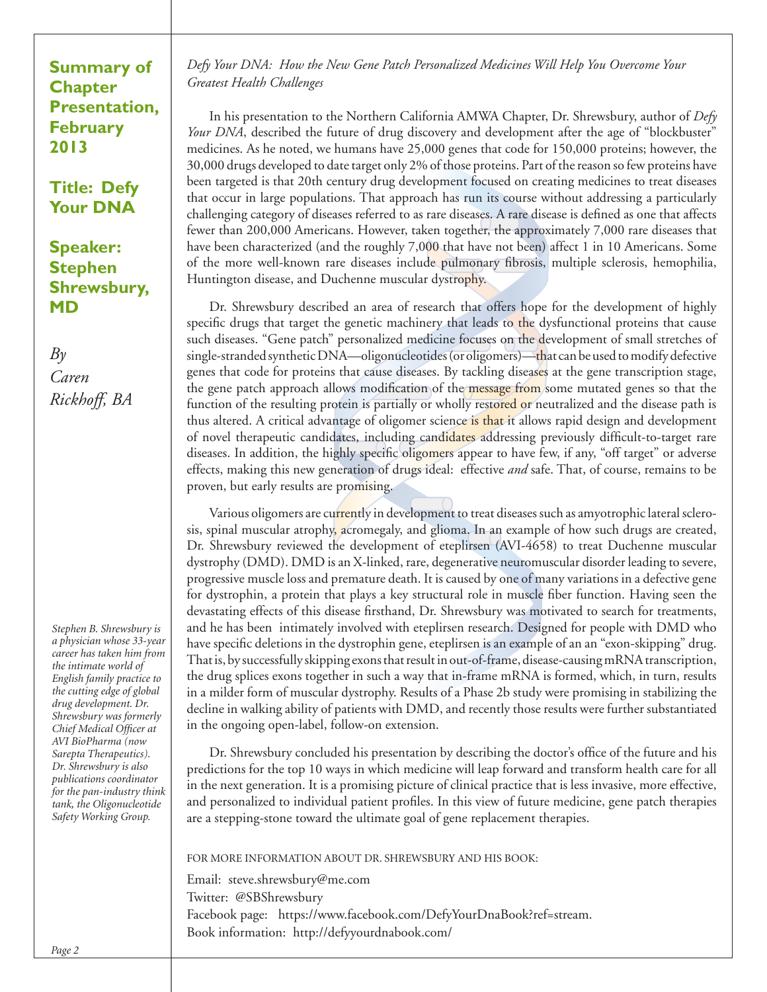### **Summary of Chapter Presentation, February 2013**

**Title: Defy Your DNA**

## **Speaker: Stephen Shrewsbury, MD**

 $B_{\nu}$ *Caren Rickhoff, BA*

*Stephen B. Shrewsbury is a physician whose 33-year career has taken him from the intimate world of English family practice to the cutting edge of global drug development. Dr. Shrewsbury was formerly Chief Medical Officer at AVI BioPharma (now Sarepta Therapeutics). Dr. Shrewsbury is also publications coordinator for the pan-industry think tank, the Oligonucleotide Safety Working Group.*

*Defy Your DNA: How the New Gene Patch Personalized Medicines Will Help You Overcome Your Greatest Health Challenges*

In his presentation to the Northern California AMWA Chapter, Dr. Shrewsbury, author of *Defy Your DNA*, described the future of drug discovery and development after the age of "blockbuster" medicines. As he noted, we humans have 25,000 genes that code for 150,000 proteins; however, the 30,000 drugs developed to date target only 2% of those proteins. Part of the reason so few proteins have been targeted is that 20th century drug development focused on creating medicines to treat diseases that occur in large populations. That approach has run its course without addressing a particularly challenging category of diseases referred to as rare diseases. A rare disease is defined as one that affects fewer than 200,000 Americans. However, taken together, the approximately 7,000 rare diseases that have been characterized (and the roughly 7,000 that have not been) affect 1 in 10 Americans. Some of the more well-known rare diseases include pulmonary fibrosis, multiple sclerosis, hemophilia, Huntington disease, and Duchenne muscular dystrophy.

Dr. Shrewsbury described an area of research that offers hope for the development of highly specific drugs that target the genetic machinery that leads to the dysfunctional proteins that cause such diseases. "Gene patch" personalized medicine focuses on the development of small stretches of single-stranded synthetic DNA—oligonucleotides (or oligomers)—that can be used to modify defective genes that code for proteins that cause diseases. By tackling diseases at the gene transcription stage, the gene patch approach allows modification of the message from some mutated genes so that the function of the resulting protein is partially or wholly restored or neutralized and the disease path is thus altered. A critical advantage of oligomer science is that it allows rapid design and development of novel therapeutic candidates, including candidates addressing previously difficult-to-target rare diseases. In addition, the highly specific oligomers appear to have few, if any, "off target" or adverse effects, making this new generation of drugs ideal: effective *and* safe. That, of course, remains to be proven, but early results are promising.

Various oligomers are currently in development to treat diseases such as amyotrophic lateral sclerosis, spinal muscular atrophy, acromegaly, and glioma. In an example of how such drugs are created, Dr. Shrewsbury reviewed the development of eteplirsen (AVI-4658) to treat Duchenne muscular dystrophy (DMD). DMD is an X-linked, rare, degenerative neuromuscular disorder leading to severe, progressive muscle loss and premature death. It is caused by one of many variations in a defective gene for dystrophin, a protein that plays a key structural role in muscle fiber function. Having seen the devastating effects of this disease firsthand, Dr. Shrewsbury was motivated to search for treatments, and he has been intimately involved with eteplirsen research. Designed for people with DMD who have specific deletions in the dystrophin gene, eteplirsen is an example of an an "exon-skipping" drug. That is, by successfully skipping exons that result in out-of-frame, disease-causing mRNA transcription, the drug splices exons together in such a way that in-frame mRNA is formed, which, in turn, results in a milder form of muscular dystrophy. Results of a Phase 2b study were promising in stabilizing the decline in walking ability of patients with DMD, and recently those results were further substantiated in the ongoing open-label, follow-on extension.

Dr. Shrewsbury concluded his presentation by describing the doctor's office of the future and his predictions for the top 10 ways in which medicine will leap forward and transform health care for all in the next generation. It is a promising picture of clinical practice that is less invasive, more effective, and personalized to individual patient profiles. In this view of future medicine, gene patch therapies are a stepping-stone toward the ultimate goal of gene replacement therapies.

FOR MORE INFORMATION ABOUT DR. SHREWSBURY AND HIS BOOK:

Email: steve.shrewsbury@me.com Twitter: @SBShrewsbury Facebook page: https://www.facebook.com/DefyYourDnaBook?ref=stream. Book information: http://defyyourdnabook.com/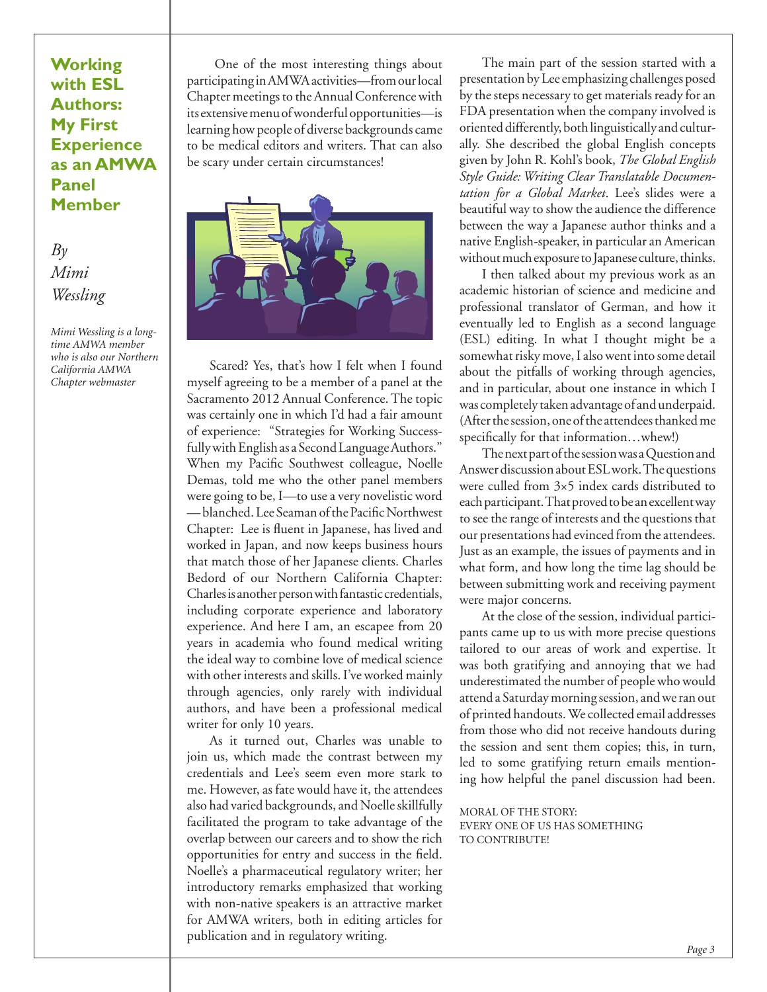**Working with ESL Authors: My First Experience as an AMWA Panel Member**

 $B_{\nu}$ *Mimi Wessling*

*Mimi Wessling is a longtime AMWA member who is also our Northern California AMWA Chapter webmaster*

 One of the most interesting things about participating in AMWA activities—from our local Chapter meetings to the Annual Conference with its extensive menu of wonderful opportunities—is learning how people of diverse backgrounds came to be medical editors and writers. That can also be scary under certain circumstances!



Scared? Yes, that's how I felt when I found myself agreeing to be a member of a panel at the Sacramento 2012 Annual Conference. The topic was certainly one in which I'd had a fair amount of experience: "Strategies for Working Successfully with English as a Second Language Authors." When my Pacific Southwest colleague, Noelle Demas, told me who the other panel members were going to be, I—to use a very novelistic word — blanched. Lee Seaman of the Pacific Northwest Chapter: Lee is fluent in Japanese, has lived and worked in Japan, and now keeps business hours that match those of her Japanese clients. Charles Bedord of our Northern California Chapter: Charles is another person with fantastic credentials, including corporate experience and laboratory experience. And here I am, an escapee from 20 years in academia who found medical writing the ideal way to combine love of medical science with other interests and skills. I've worked mainly through agencies, only rarely with individual authors, and have been a professional medical writer for only 10 years.

As it turned out, Charles was unable to join us, which made the contrast between my credentials and Lee's seem even more stark to me. However, as fate would have it, the attendees also had varied backgrounds, and Noelle skillfully facilitated the program to take advantage of the overlap between our careers and to show the rich opportunities for entry and success in the field. Noelle's a pharmaceutical regulatory writer; her introductory remarks emphasized that working with non-native speakers is an attractive market for AMWA writers, both in editing articles for publication and in regulatory writing.

The main part of the session started with a presentation by Lee emphasizing challenges posed by the steps necessary to get materials ready for an FDA presentation when the company involved is oriented differently, both linguistically and culturally. She described the global English concepts given by John R. Kohl's book, *The Global English Style Guide: Writing Clear Translatable Documentation for a Global Market*. Lee's slides were a beautiful way to show the audience the difference between the way a Japanese author thinks and a native English-speaker, in particular an American without much exposure to Japanese culture, thinks.

I then talked about my previous work as an academic historian of science and medicine and professional translator of German, and how it eventually led to English as a second language (ESL) editing. In what I thought might be a somewhat risky move, I also went into some detail about the pitfalls of working through agencies, and in particular, about one instance in which I was completely taken advantage of and underpaid. (After the session, one of the attendees thanked me specifically for that information…whew!)

The next part of the session was a Question and Answer discussion about ESL work. The questions were culled from 3×5 index cards distributed to each participant. That proved to be an excellent way to see the range of interests and the questions that our presentations had evinced from the attendees. Just as an example, the issues of payments and in what form, and how long the time lag should be between submitting work and receiving payment were major concerns.

At the close of the session, individual participants came up to us with more precise questions tailored to our areas of work and expertise. It was both gratifying and annoying that we had underestimated the number of people who would attend a Saturday morning session, and we ran out of printed handouts. We collected email addresses from those who did not receive handouts during the session and sent them copies; this, in turn, led to some gratifying return emails mentioning how helpful the panel discussion had been.

Moral of the story: every one of us has something TO CONTRIBUTE!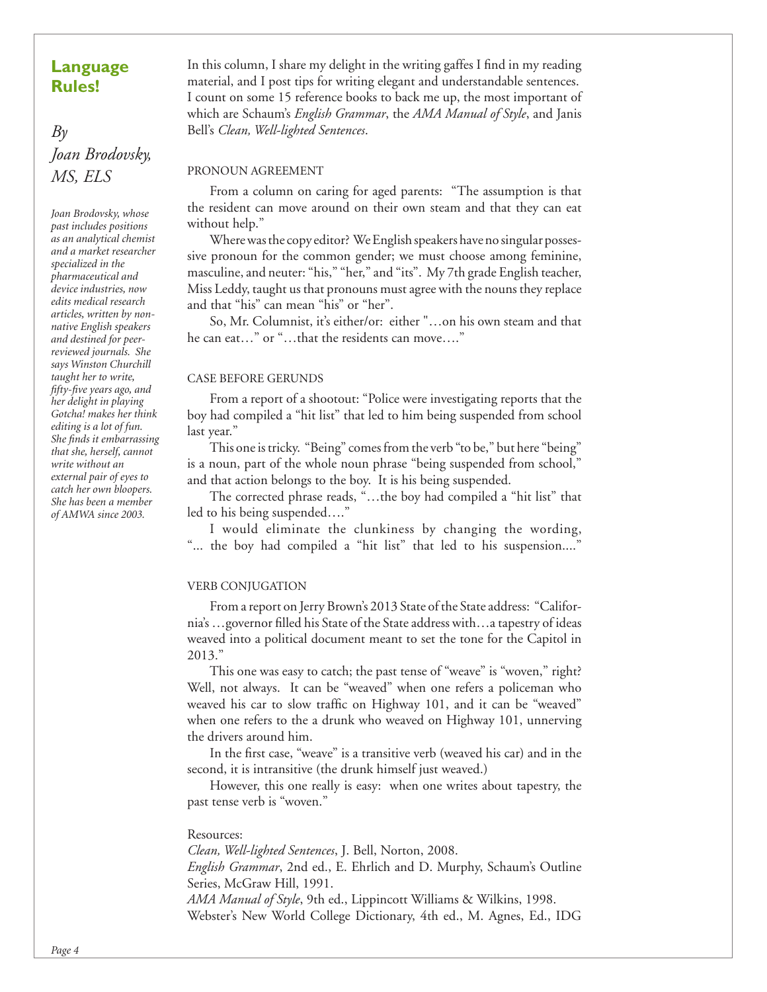#### **Language Rules!**

# $B_{\mathcal{V}}$ *Joan Brodovsky, MS, ELS*

*Joan Brodovsky, whose past includes positions as an analytical chemist and a market researcher specialized in the pharmaceutical and device industries, now edits medical research articles, written by nonnative English speakers and destined for peerreviewed journals. She says Winston Churchill taught her to write, fifty-five years ago, and her delight in playing Gotcha! makes her think editing is a lot of fun. She finds it embarrassing that she, herself, cannot write without an external pair of eyes to catch her own bloopers. She has been a member of AMWA since 2003.*

In this column, I share my delight in the writing gaffes I find in my reading material, and I post tips for writing elegant and understandable sentences. I count on some 15 reference books to back me up, the most important of which are Schaum's *English Grammar*, the *AMA Manual of Style*, and Janis Bell's *Clean, Well-lighted Sentences*.

#### Pronoun Agreement

From a column on caring for aged parents: "The assumption is that the resident can move around on their own steam and that they can eat without help."

Where was the copy editor? We English speakers have no singular possessive pronoun for the common gender; we must choose among feminine, masculine, and neuter: "his," "her," and "its". My 7th grade English teacher, Miss Leddy, taught us that pronouns must agree with the nouns they replace and that "his" can mean "his" or "her".

So, Mr. Columnist, it's either/or: either "…on his own steam and that he can eat…" or "…that the residents can move…."

#### Case before Gerunds

From a report of a shootout: "Police were investigating reports that the boy had compiled a "hit list" that led to him being suspended from school last year."

This one is tricky. "Being" comes from the verb "to be," but here "being" is a noun, part of the whole noun phrase "being suspended from school," and that action belongs to the boy. It is his being suspended.

The corrected phrase reads, "…the boy had compiled a "hit list" that led to his being suspended…."

I would eliminate the clunkiness by changing the wording, "... the boy had compiled a "hit list" that led to his suspension...."

#### VERB CONJUGATION

From a report on Jerry Brown's 2013 State of the State address: "California's …governor filled his State of the State address with…a tapestry of ideas weaved into a political document meant to set the tone for the Capitol in 2013."

This one was easy to catch; the past tense of "weave" is "woven," right? Well, not always. It can be "weaved" when one refers a policeman who weaved his car to slow traffic on Highway 101, and it can be "weaved" when one refers to the a drunk who weaved on Highway 101, unnerving the drivers around him.

In the first case, "weave" is a transitive verb (weaved his car) and in the second, it is intransitive (the drunk himself just weaved.)

However, this one really is easy: when one writes about tapestry, the past tense verb is "woven."

#### Resources:

*Clean, Well-lighted Sentences*, J. Bell, Norton, 2008.

*English Grammar*, 2nd ed., E. Ehrlich and D. Murphy, Schaum's Outline Series, McGraw Hill, 1991.

*AMA Manual of Style*, 9th ed., Lippincott Williams & Wilkins, 1998.

Webster's New World College Dictionary, 4th ed., M. Agnes, Ed., IDG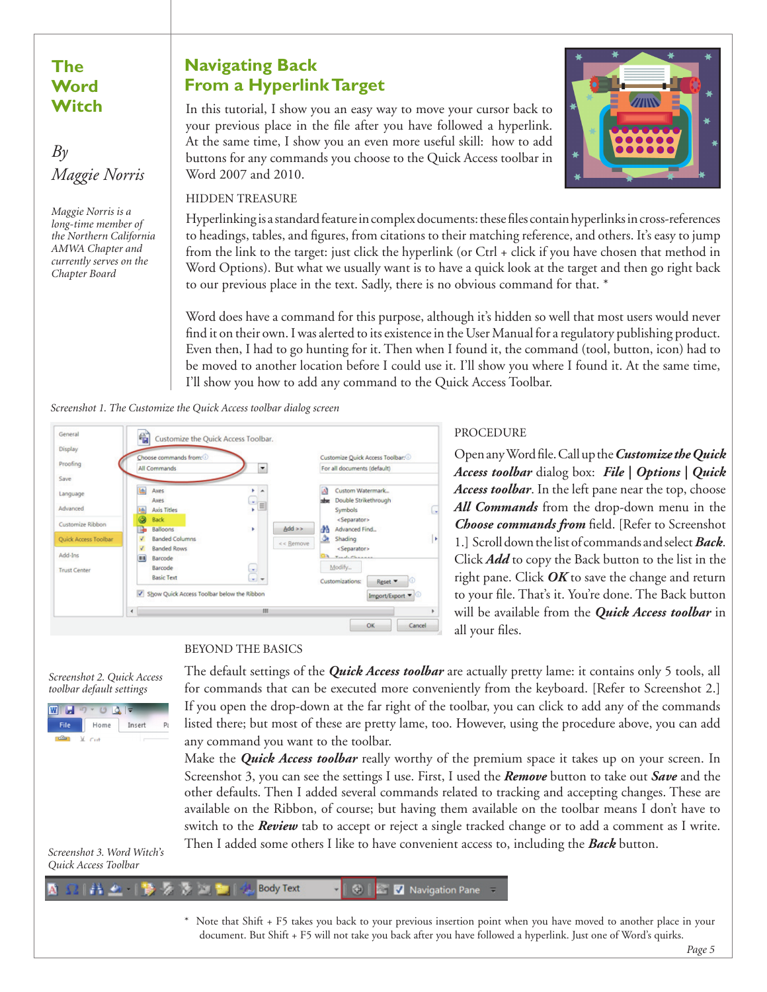### **The Word Witch**

# $B_{\nu}$ *Maggie Norris*

*Maggie Norris is a long-time member of the Northern California AMWA Chapter and currently serves on the Chapter Board*

# **Navigating Back From a Hyperlink Target**

In this tutorial, I show you an easy way to move your cursor back to your previous place in the file after you have followed a hyperlink. At the same time, I show you an even more useful skill: how to add buttons for any commands you choose to the Quick Access toolbar in Word 2007 and 2010.



HIDDEN TREASURE

Hyperlinking is a standard feature in complex documents: these files contain hyperlinks in cross-references to headings, tables, and figures, from citations to their matching reference, and others. It's easy to jump from the link to the target: just click the hyperlink (or Ctrl + click if you have chosen that method in Word Options). But what we usually want is to have a quick look at the target and then go right back to our previous place in the text. Sadly, there is no obvious command for that. \*

Word does have a command for this purpose, although it's hidden so well that most users would never find it on their own. I was alerted to its existence in the User Manual for a regulatory publishing product. Even then, I had to go hunting for it. Then when I found it, the command (tool, button, icon) had to be moved to another location before I could use it. I'll show you where I found it. At the same time, I'll show you how to add any command to the Quick Access Toolbar.

*Screenshot 1. The Customize the Quick Access toolbar dialog screen*



#### **PROCEDURE**

Open any Word file. Call up the *Customize the Quick Access toolbar* dialog box: *File | Options | Quick Access toolbar*. In the left pane near the top, choose *All Commands* from the drop-down menu in the *Choose commands from* field. [Refer to Screenshot 1.] Scroll down the list of commands and select *Back*. Click *Add* to copy the Back button to the list in the right pane. Click *OK* to save the change and return to your file. That's it. You're done. The Back button will be available from the *Quick Access toolbar* in all your files.

#### Beyond the Basics

*Screenshot 2. Quick Access toolbar default settings*

| W<br>ы | $157 - 17$ | ╤      |    |  |
|--------|------------|--------|----|--|
| File   | Home       | Insert | э, |  |
|        | $C_{11}$   |        |    |  |

The default settings of the *Quick Access toolbar* are actually pretty lame: it contains only 5 tools, all for commands that can be executed more conveniently from the keyboard. [Refer to Screenshot 2.] If you open the drop-down at the far right of the toolbar, you can click to add any of the commands listed there; but most of these are pretty lame, too. However, using the procedure above, you can add any command you want to the toolbar.

Make the *Quick Access toolbar* really worthy of the premium space it takes up on your screen. In Screenshot 3, you can see the settings I use. First, I used the *Remove* button to take out *Save* and the other defaults. Then I added several commands related to tracking and accepting changes. These are available on the Ribbon, of course; but having them available on the toolbar means I don't have to switch to the *Review* tab to accept or reject a single tracked change or to add a comment as I write. Then I added some others I like to have convenient access to, including the *Back* button.

*Screenshot 3. Word Witch's Quick Access Toolbar*

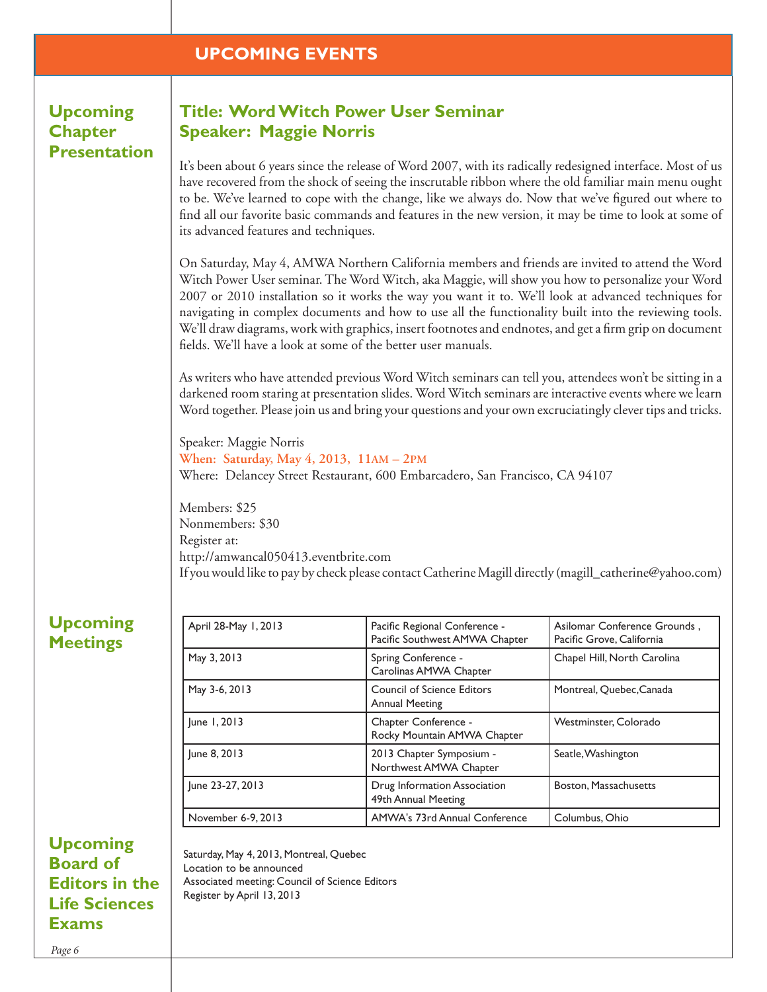### **UPCOMING EVENTS**

### **Upcoming Chapter Presentation**

### **Title: Word Witch Power User Seminar Speaker: Maggie Norris**

It's been about 6 years since the release of Word 2007, with its radically redesigned interface. Most of us have recovered from the shock of seeing the inscrutable ribbon where the old familiar main menu ought to be. We've learned to cope with the change, like we always do. Now that we've figured out where to find all our favorite basic commands and features in the new version, it may be time to look at some of its advanced features and techniques.

On Saturday, May 4, AMWA Northern California members and friends are invited to attend the Word Witch Power User seminar. The Word Witch, aka Maggie, will show you how to personalize your Word 2007 or 2010 installation so it works the way you want it to. We'll look at advanced techniques for navigating in complex documents and how to use all the functionality built into the reviewing tools. We'll draw diagrams, work with graphics, insert footnotes and endnotes, and get a firm grip on document fields. We'll have a look at some of the better user manuals.

As writers who have attended previous Word Witch seminars can tell you, attendees won't be sitting in a darkened room staring at presentation slides. Word Witch seminars are interactive events where we learn Word together. Please join us and bring your questions and your own excruciatingly clever tips and tricks.

Speaker: Maggie Norris **When: Saturday, May 4, 2013, 11AM – 2PM** Where: Delancey Street Restaurant, 600 Embarcadero, San Francisco, CA 94107

Members: \$25 Nonmembers: \$30 Register at: http://amwancal050413.eventbrite.com If you would like to pay by check please contact Catherine Magill directly (magill\_catherine@yahoo.com)

### **Upcoming Meetings**

| April 28-May 1, 2013 | Pacific Regional Conference -<br>Pacific Southwest AMWA Chapter | Asilomar Conference Grounds,<br>Pacific Grove, California |
|----------------------|-----------------------------------------------------------------|-----------------------------------------------------------|
| May 3, 2013          | Spring Conference -<br>Carolinas AMWA Chapter                   | Chapel Hill, North Carolina                               |
| May 3-6, 2013        | <b>Council of Science Editors</b><br><b>Annual Meeting</b>      | Montreal, Quebec, Canada                                  |
| June 1, 2013         | Chapter Conference -<br>Rocky Mountain AMWA Chapter             | Westminster, Colorado                                     |
| une 8, 2013          | 2013 Chapter Symposium -<br>Northwest AMWA Chapter              | Seatle, Washington                                        |
| une 23-27, 2013      | Drug Information Association<br>49th Annual Meeting             | <b>Boston, Massachusetts</b>                              |
| November 6-9, 2013   | AMWA's 73rd Annual Conference                                   | Columbus, Ohio                                            |

**Upcoming Board of Editors in the Life Sciences Exams**

Saturday, May 4, 2013, Montreal, Quebec Location to be announced Associated meeting: Council of Science Editors Register by April 13, 2013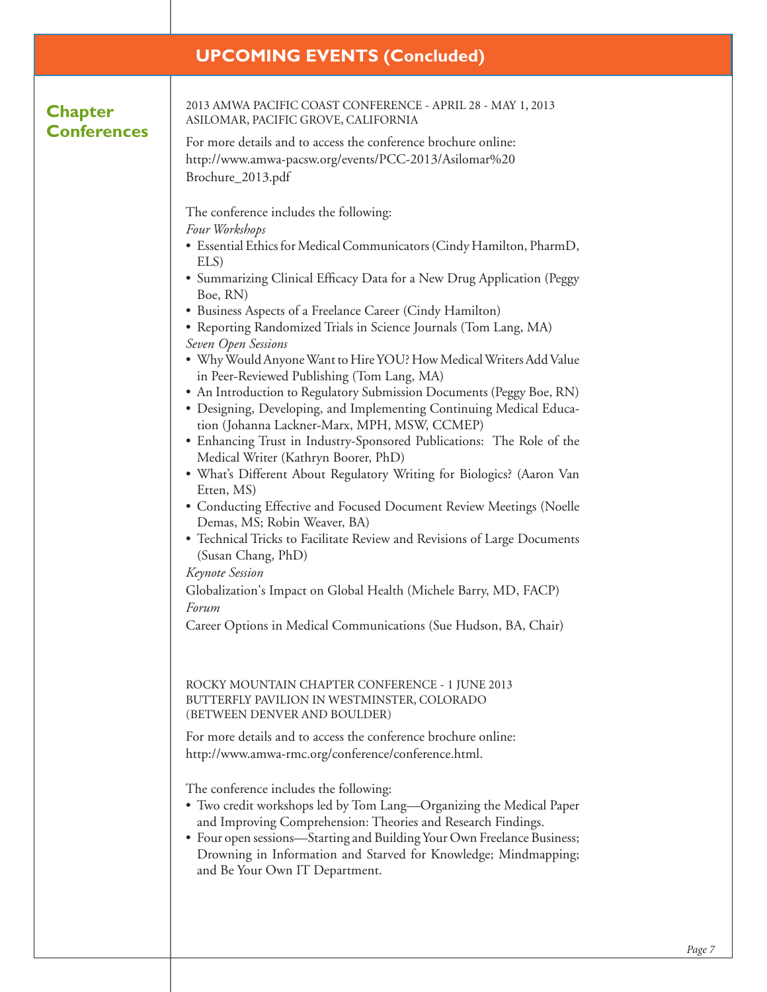### **UPCOMING EVENTS (Concluded)**

#### **Chapter Conferences**

2013 AMWA Pacific Coast Conference - April 28 - May 1, 2013 Asilomar, Pacific Grove, California

For more details and to access the conference brochure online: http://www.amwa-pacsw.org/events/PCC-2013/Asilomar%20 Brochure\_2013.pdf

The conference includes the following:

*Four Workshops*

- Essential Ethics for Medical Communicators (Cindy Hamilton, PharmD, ELS)
- Summarizing Clinical Efficacy Data for a New Drug Application (Peggy Boe, RN)
- Business Aspects of a Freelance Career (Cindy Hamilton)
- Reporting Randomized Trials in Science Journals (Tom Lang, MA) *Seven Open Sessions*
- Why Would Anyone Want to Hire YOU? How Medical Writers Add Value in Peer-Reviewed Publishing (Tom Lang, MA)
- An Introduction to Regulatory Submission Documents (Peggy Boe, RN)
- Designing, Developing, and Implementing Continuing Medical Education (Johanna Lackner-Marx, MPH, MSW, CCMEP)
- • Enhancing Trust in Industry-Sponsored Publications: The Role of the Medical Writer (Kathryn Boorer, PhD)
- • What's Different About Regulatory Writing for Biologics? (Aaron Van Etten, MS)
- Conducting Effective and Focused Document Review Meetings (Noelle Demas, MS; Robin Weaver, BA)
- Technical Tricks to Facilitate Review and Revisions of Large Documents (Susan Chang, PhD)

*Keynote Session*

Globalization's Impact on Global Health (Michele Barry, MD, FACP) *Forum*

Career Options in Medical Communications (Sue Hudson, BA, Chair)

Rocky Mountain Chapter Conference - 1 June 2013 Butterfly Pavilion in Westminster, Colorado (between Denver and Boulder)

For more details and to access the conference brochure online: http://www.amwa-rmc.org/conference/conference.html.

The conference includes the following:

- Two credit workshops led by Tom Lang—Organizing the Medical Paper and Improving Comprehension: Theories and Research Findings.
- Four open sessions—Starting and Building Your Own Freelance Business; Drowning in Information and Starved for Knowledge; Mindmapping; and Be Your Own IT Department.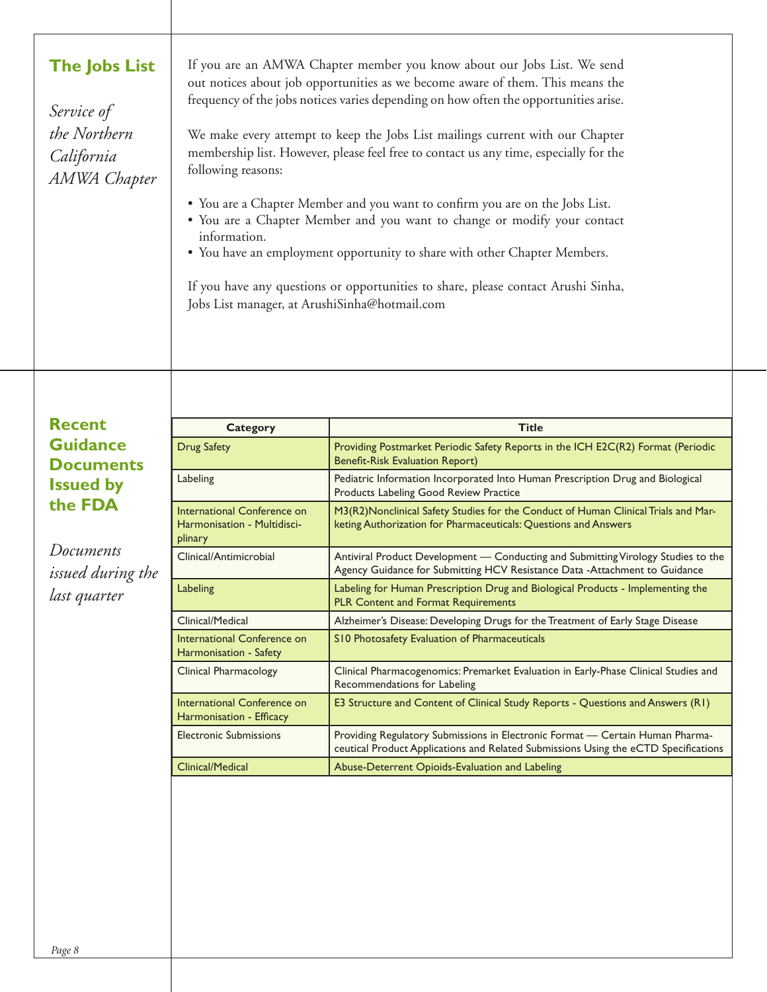| <b>The Jobs List</b><br>Service of<br>the Northern<br>California<br><b>AMWA</b> Chapter | If you are an AMWA Chapter member you know about our Jobs List. We send<br>out notices about job opportunities as we become aware of them. This means the<br>frequency of the jobs notices varies depending on how often the opportunities arise.<br>We make every attempt to keep the Jobs List mailings current with our Chapter<br>membership list. However, please feel free to contact us any time, especially for the<br>following reasons:<br>• You are a Chapter Member and you want to confirm you are on the Jobs List.<br>• You are a Chapter Member and you want to change or modify your contact<br>information.<br>• You have an employment opportunity to share with other Chapter Members.<br>If you have any questions or opportunities to share, please contact Arushi Sinha,<br>Jobs List manager, at ArushiSinha@hotmail.com |                                                                                                                          |  |
|-----------------------------------------------------------------------------------------|--------------------------------------------------------------------------------------------------------------------------------------------------------------------------------------------------------------------------------------------------------------------------------------------------------------------------------------------------------------------------------------------------------------------------------------------------------------------------------------------------------------------------------------------------------------------------------------------------------------------------------------------------------------------------------------------------------------------------------------------------------------------------------------------------------------------------------------------------|--------------------------------------------------------------------------------------------------------------------------|--|
| <b>Recent</b>                                                                           | <b>Category</b>                                                                                                                                                                                                                                                                                                                                                                                                                                                                                                                                                                                                                                                                                                                                                                                                                                  | <b>Title</b>                                                                                                             |  |
| <b>Guidance</b>                                                                         | <b>Drug Safety</b>                                                                                                                                                                                                                                                                                                                                                                                                                                                                                                                                                                                                                                                                                                                                                                                                                               | Providing Postmarket Periodic Safety Reports in the ICH E2C(R2) Format (Periodic                                         |  |
| <b>Documents</b>                                                                        |                                                                                                                                                                                                                                                                                                                                                                                                                                                                                                                                                                                                                                                                                                                                                                                                                                                  | <b>Benefit-Risk Evaluation Report)</b>                                                                                   |  |
| <b>Issued by</b>                                                                        | Labeling                                                                                                                                                                                                                                                                                                                                                                                                                                                                                                                                                                                                                                                                                                                                                                                                                                         | Pediatric Information Incorporated Into Human Prescription Drug and Biological<br>Products Labeling Good Review Practice |  |
| the FDA                                                                                 | International Conference on                                                                                                                                                                                                                                                                                                                                                                                                                                                                                                                                                                                                                                                                                                                                                                                                                      | M3(R2)Nonclinical Safety Studies for the Conduct of Human Clinical Trials and Mar-                                       |  |

*Documents issued during the last quarter*

| Labeling                                                              | Pediatric Information Incorporated Into Human Prescription Drug and Biological<br>Products Labeling Good Review Practice                                             |
|-----------------------------------------------------------------------|----------------------------------------------------------------------------------------------------------------------------------------------------------------------|
| International Conference on<br>Harmonisation - Multidisci-<br>plinary | M3(R2)Nonclinical Safety Studies for the Conduct of Human Clinical Trials and Mar-<br>keting Authorization for Pharmaceuticals: Questions and Answers                |
| Clinical/Antimicrobial                                                | Antiviral Product Development — Conducting and Submitting Virology Studies to the<br>Agency Guidance for Submitting HCV Resistance Data -Attachment to Guidance      |
| Labeling                                                              | Labeling for Human Prescription Drug and Biological Products - Implementing the<br><b>PLR Content and Format Requirements</b>                                        |
| Clinical/Medical                                                      | Alzheimer's Disease: Developing Drugs for the Treatment of Early Stage Disease                                                                                       |
| International Conference on<br>Harmonisation - Safety                 | <b>S10 Photosafety Evaluation of Pharmaceuticals</b>                                                                                                                 |
| Clinical Pharmacology                                                 | Clinical Pharmacogenomics: Premarket Evaluation in Early-Phase Clinical Studies and<br>Recommendations for Labeling                                                  |
| International Conference on<br>Harmonisation - Efficacy               | E3 Structure and Content of Clinical Study Reports - Questions and Answers (R1)                                                                                      |
| Electronic Submissions                                                | Providing Regulatory Submissions in Electronic Format - Certain Human Pharma-<br>ceutical Product Applications and Related Submissions Using the eCTD Specifications |
| Clinical/Medical                                                      | Abuse-Deterrent Opioids-Evaluation and Labeling                                                                                                                      |